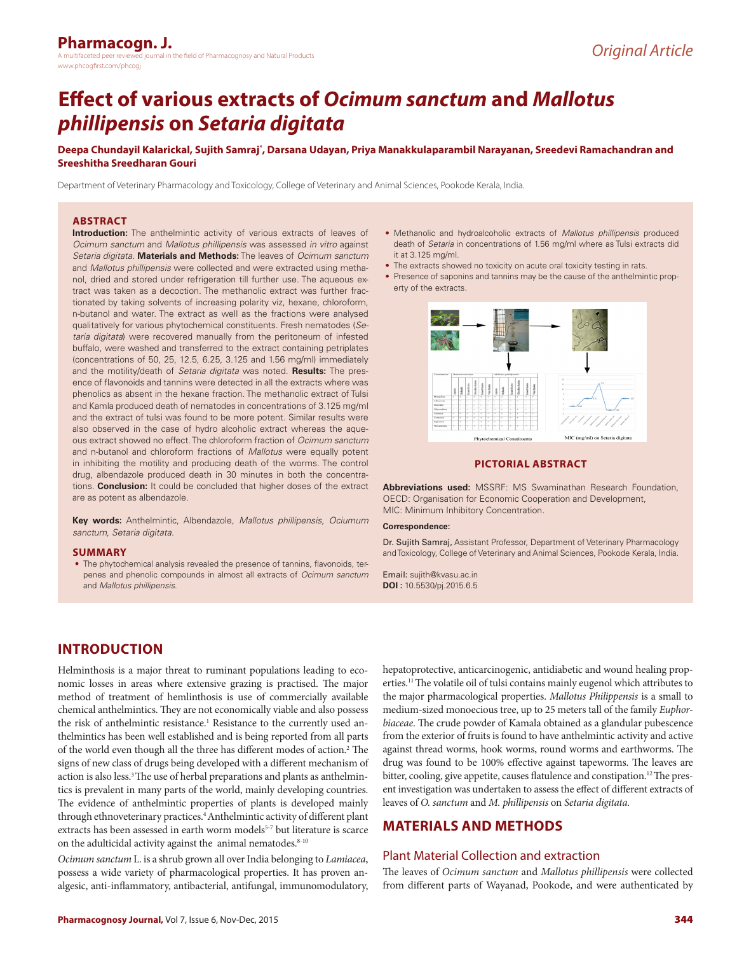# **Effect of various extracts of** *Ocimum sanctum* **and** *Mallotus phillipensis* **on** *Setaria digitata*

Deepa Chundayil Kalarickal, Sujith Samraj**ʻ, Darsana Udayan, Priya Manakkulaparam**bil Narayanan, Sreedevi Ramachandran and **Sreeshitha Sreedharan Gouri**

Department of Veterinary Pharmacology and Toxicology, College of Veterinary and Animal Sciences, Pookode Kerala, India.

#### **ABSTRACT**

**Introduction:** The anthelmintic activity of various extracts of leaves of *Ocimum sanctum* and *Mallotus phillipensis* was assessed *in vitro* against *Setaria digitata*. **Materials and Methods:** The leaves of *Ocimum sanctum* and *Mallotus phillipensis* were collected and were extracted using methanol, dried and stored under refrigeration till further use. The aqueous extract was taken as a decoction. The methanolic extract was further fractionated by taking solvents of increasing polarity viz, hexane, chloroform, n-butanol and water. The extract as well as the fractions were analysed qualitatively for various phytochemical constituents. Fresh nematodes (*Setaria digitata*) were recovered manually from the peritoneum of infested buffalo, were washed and transferred to the extract containing petriplates (concentrations of 50, 25, 12.5, 6.25, 3.125 and 1.56 mg/ml) immediately and the motility/death of *Setaria digitata* was noted. **Results:** The presence of flavonoids and tannins were detected in all the extracts where was phenolics as absent in the hexane fraction. The methanolic extract of Tulsi and Kamla produced death of nematodes in concentrations of 3.125 mg/ml and the extract of tulsi was found to be more potent. Similar results were also observed in the case of hydro alcoholic extract whereas the aqueous extract showed no effect. The chloroform fraction of *Ocimum sanctum* and n-butanol and chloroform fractions of *Mallotus* were equally potent in inhibiting the motility and producing death of the worms. The control drug, albendazole produced death in 30 minutes in both the concentrations. **Conclusion:** It could be concluded that higher doses of the extract are as potent as albendazole.

**Key words:** Anthelmintic, Albendazole, *Mallotus phillipensis, Ociumum sanctum, Setaria digitata*.

#### **SUMMARY**

• The phytochemical analysis revealed the presence of tannins, flavonoids, terpenes and phenolic compounds in almost all extracts of *Ocimum sanctum* and *Mallotus phillipensis*.

- Methanolic and hydroalcoholic extracts of *Mallotus phillipensis* produced death of *Setaria* in concentrations of 1.56 mg/ml where as Tulsi extracts did it at 3.125 mg/ml.
- The extracts showed no toxicity on acute oral toxicity testing in rats.
- Presence of saponins and tannins may be the cause of the anthelmintic property of the extracts.



#### **PICTORIAL ABSTRACT**

**Abbreviations used:** MSSRF: MS Swaminathan Research Foundation, OECD: Organisation for Economic Cooperation and Development, MIC: Minimum Inhibitory Concentration*.*

#### **Correspondence:**

Dr. Sujith Samraj, Assistant Professor, Department of Veterinary Pharmacology and Toxicology, College of Veterinary and Animal Sciences, Pookode Kerala, India.

Email: sujith@kvasu.ac.in **DOI :** 10.5530/pj.2015.6.5

# **INTRODUCTION**

Helminthosis is a major threat to ruminant populations leading to economic losses in areas where extensive grazing is practised. The major method of treatment of hemlinthosis is use of commercially available chemical anthelmintics. They are not economically viable and also possess the risk of anthelmintic resistance.<sup>1</sup> Resistance to the currently used anthelmintics has been well established and is being reported from all parts of the world even though all the three has different modes of action.<sup>2</sup> The signs of new class of drugs being developed with a different mechanism of action is also less.<sup>3</sup> The use of herbal preparations and plants as anthelmintics is prevalent in many parts of the world, mainly developing countries. The evidence of anthelmintic properties of plants is developed mainly through ethnoveterinary practices.<sup>4</sup> Anthelmintic activity of different plant extracts has been assessed in earth worm models<sup>5-7</sup> but literature is scarce on the adulticidal activity against the animal nematodes.<sup>8-10</sup>

*Ocimum sanctum* L. is a shrub grown all over India belonging to *Lamiacea*, possess a wide variety of pharmacological properties. It has proven analgesic, anti-inflammatory, antibacterial, antifungal, immunomodulatory,

hepatoprotective, anticarcinogenic, antidiabetic and wound healing properties.11 The volatile oil of tulsi contains mainly eugenol which attributes to the major pharmacological properties. *Mallotus Philippensis* is a small to medium-sized monoecious tree, up to 25 meters tall of the family *Euphorbiaceae*. The crude powder of Kamala obtained as a glandular pubescence from the exterior of fruits is found to have anthelmintic activity and active against thread worms, hook worms, round worms and earthworms. The drug was found to be 100% effective against tapeworms. The leaves are bitter, cooling, give appetite, causes flatulence and constipation.<sup>12</sup> The present investigation was undertaken to assess the effect of different extracts of leaves of *O. sanctum* and *M. phillipensis* on *Setaria digitata.*

## **MATERIALS AND METHODS**

#### Plant Material Collection and extraction

The leaves of *Ocimum sanctum* and *Mallotus phillipensis* were collected from different parts of Wayanad, Pookode, and were authenticated by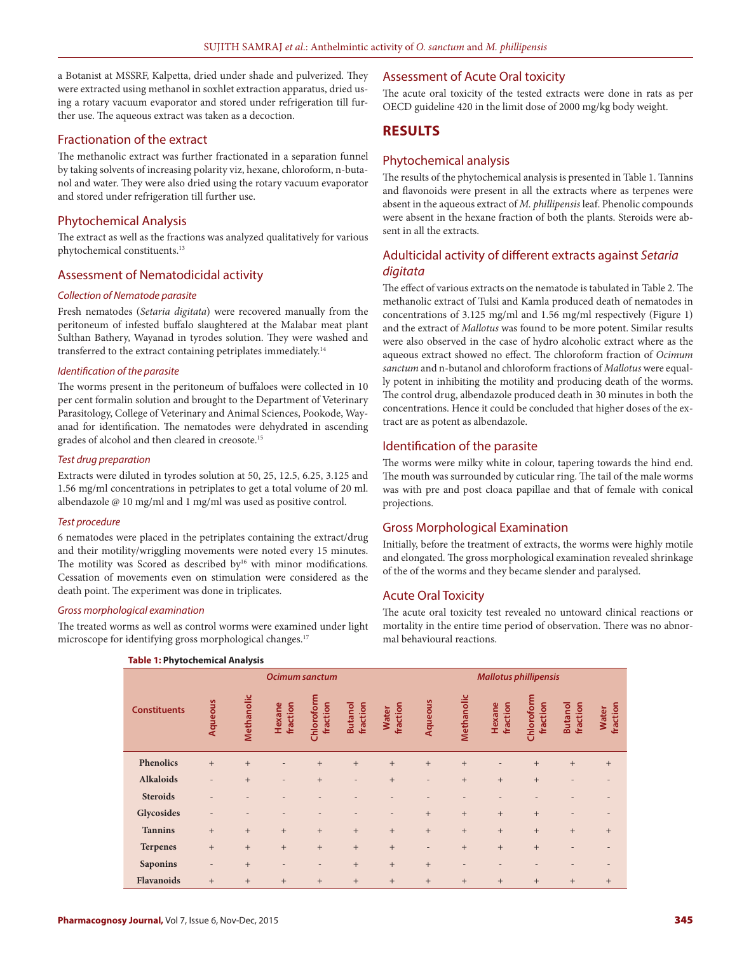a Botanist at MSSRF, Kalpetta, dried under shade and pulverized. They were extracted using methanol in soxhlet extraction apparatus, dried using a rotary vacuum evaporator and stored under refrigeration till further use. The aqueous extract was taken as a decoction.

### Fractionation of the extract

The methanolic extract was further fractionated in a separation funnel by taking solvents of increasing polarity viz, hexane, chloroform, n-butanol and water. They were also dried using the rotary vacuum evaporator and stored under refrigeration till further use.

## Phytochemical Analysis

The extract as well as the fractions was analyzed qualitatively for various phytochemical constituents.13

### Assessment of Nematodicidal activity

#### *Collection of Nematode parasite*

Fresh nematodes (*Setaria digitata*) were recovered manually from the peritoneum of infested buffalo slaughtered at the Malabar meat plant Sulthan Bathery, Wayanad in tyrodes solution. They were washed and transferred to the extract containing petriplates immediately.<sup>14</sup>

#### *Identification of the parasite*

The worms present in the peritoneum of buffaloes were collected in 10 per cent formalin solution and brought to the Department of Veterinary Parasitology, College of Veterinary and Animal Sciences, Pookode, Wayanad for identification. The nematodes were dehydrated in ascending grades of alcohol and then cleared in creosote.<sup>15</sup>

#### *Test drug preparation*

Extracts were diluted in tyrodes solution at 50, 25, 12.5, 6.25, 3.125 and 1.56 mg/ml concentrations in petriplates to get a total volume of 20 ml. albendazole @ 10 mg/ml and 1 mg/ml was used as positive control.

#### *Test procedure*

6 nematodes were placed in the petriplates containing the extract/drug and their motility/wriggling movements were noted every 15 minutes. The motility was Scored as described by<sup>16</sup> with minor modifications. Cessation of movements even on stimulation were considered as the death point. The experiment was done in triplicates.

#### *Gross morphological examination*

The treated worms as well as control worms were examined under light microscope for identifying gross morphological changes.<sup>17</sup>

## Assessment of Acute Oral toxicity

The acute oral toxicity of the tested extracts were done in rats as per OECD guideline 420 in the limit dose of 2000 mg/kg body weight.

## **RESULTS**

## Phytochemical analysis

The results of the phytochemical analysis is presented in Table 1. Tannins and flavonoids were present in all the extracts where as terpenes were absent in the aqueous extract of *M. phillipensis* leaf. Phenolic compounds were absent in the hexane fraction of both the plants. Steroids were absent in all the extracts.

## Adulticidal activity of different extracts against *Setaria digitata*

The effect of various extracts on the nematode is tabulated in Table 2. The methanolic extract of Tulsi and Kamla produced death of nematodes in concentrations of 3.125 mg/ml and 1.56 mg/ml respectively (Figure 1) and the extract of *Mallotus* was found to be more potent. Similar results were also observed in the case of hydro alcoholic extract where as the aqueous extract showed no effect. The chloroform fraction of *Ocimum sanctum* and n-butanol and chloroform fractions of *Mallotus* were equally potent in inhibiting the motility and producing death of the worms. The control drug, albendazole produced death in 30 minutes in both the concentrations. Hence it could be concluded that higher doses of the extract are as potent as albendazole.

## Identification of the parasite

The worms were milky white in colour, tapering towards the hind end. The mouth was surrounded by cuticular ring. The tail of the male worms was with pre and post cloaca papillae and that of female with conical projections.

## Gross Morphological Examination

Initially, before the treatment of extracts, the worms were highly motile and elongated. The gross morphological examination revealed shrinkage of the of the worms and they became slender and paralysed.

## Acute Oral Toxicity

The acute oral toxicity test revealed no untoward clinical reactions or mortality in the entire time period of observation. There was no abnormal behavioural reactions.

| Table 1: Phytochemical Analysis |                          |                 |                          |                          |                            |                          |                              |                          |                          |                        |                            |                                  |
|---------------------------------|--------------------------|-----------------|--------------------------|--------------------------|----------------------------|--------------------------|------------------------------|--------------------------|--------------------------|------------------------|----------------------------|----------------------------------|
|                                 | <b>Ocimum sanctum</b>    |                 |                          |                          |                            |                          | <b>Mallotus phillipensis</b> |                          |                          |                        |                            |                                  |
| <b>Constituents</b>             | Aqueous                  | Methanolic      | fraction<br>Hexane       | Chloroform<br>fraction   | <b>Butanol</b><br>fraction | fraction<br><b>Water</b> | Aqueous                      | Methanolic               | fraction<br>Hexane       | Chloroform<br>fraction | fraction<br><b>Butanol</b> | fraction<br>Water                |
| Phenolics                       | $+$                      | $\! + \!\!\!\!$ |                          | $+$                      | $+$                        | $+$                      | $+$                          | $+$                      | $\qquad \qquad$          | $\! + \!\!\!\!$        | $\qquad \qquad +$          | $\begin{array}{c} + \end{array}$ |
| <b>Alkaloids</b>                | ٠                        | $\! + \!\!\!\!$ | $\overline{\phantom{0}}$ | $+$                      | $\overline{a}$             | $\! + \!\!\!\!$          | $\overline{\phantom{a}}$     | $+$                      | $\! + \!\!\!\!$          | $\overline{+}$         |                            |                                  |
| <b>Steroids</b>                 | ۰                        | $\overline{a}$  |                          |                          |                            |                          |                              |                          | $\overline{a}$           |                        |                            |                                  |
| Glycosides                      | $\overline{\phantom{0}}$ |                 |                          |                          |                            | $\overline{\phantom{a}}$ | $+$                          | $+$                      | $+$                      | $+$                    | $\overline{\phantom{0}}$   |                                  |
| <b>Tannins</b>                  | $+$                      | $\! + \!\!\!\!$ | $+$                      | $+$                      | $+$                        | $+$                      | $+$                          | $+$                      | $+$                      | $+$                    | $+$                        | $+$                              |
| <b>Terpenes</b>                 | $+$                      | $\! + \!\!\!\!$ | $+$                      | $+$                      | $+$                        | $+$                      | $\overline{\phantom{a}}$     | $+$                      | $+$                      | $+$                    | $\overline{\phantom{0}}$   |                                  |
| <b>Saponins</b>                 | $\overline{\phantom{0}}$ | $\! + \!\!\!\!$ | $\overline{\phantom{0}}$ | $\overline{\phantom{0}}$ | $+$                        | $+$                      | $+$                          | $\overline{\phantom{0}}$ | $\overline{\phantom{0}}$ |                        |                            |                                  |
| Flavanoids                      | $+$                      | $\! + \!\!\!\!$ | $\! +$                   | $\! +$                   | $+$                        | $\qquad \qquad +$        | $\! +$                       | $\! +$                   | $\! + \!\!\!\!$          | $\ddot{}$              | $\qquad \qquad +$          | $\begin{array}{c} + \end{array}$ |

#### **Table 1: Phytochemical Analysis**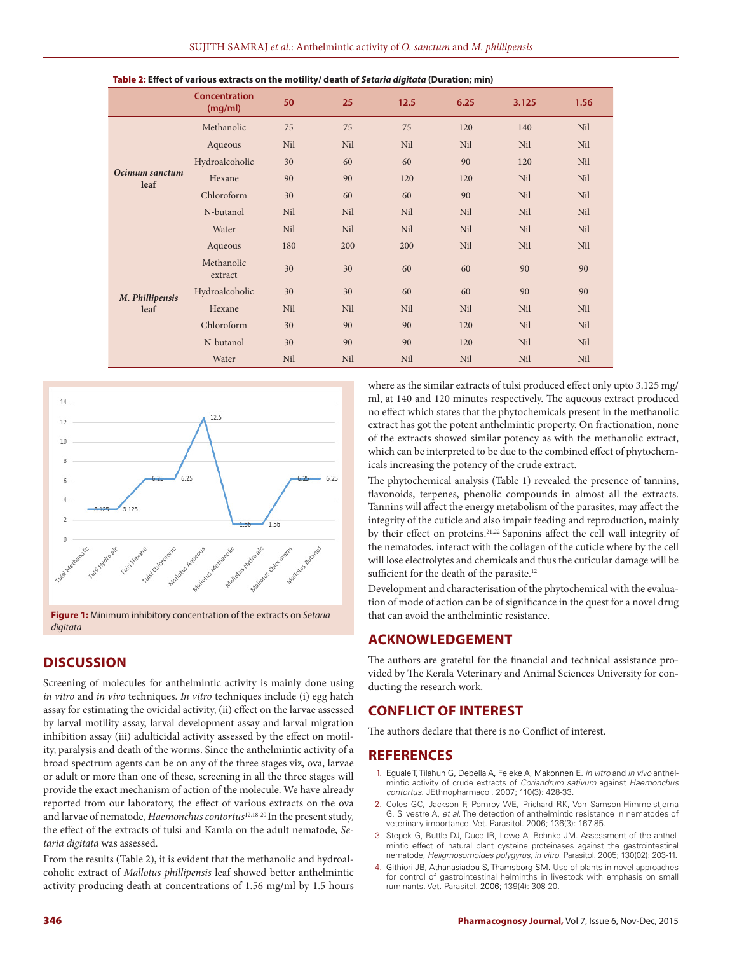|                         | <b>Concentration</b><br>(mg/ml) | 50  | 25  | 12.5 | 6.25 | 3.125 | 1.56 |
|-------------------------|---------------------------------|-----|-----|------|------|-------|------|
| Ocimum sanctum<br>leaf  | Methanolic                      | 75  | 75  | 75   | 120  | 140   | Nil  |
|                         | Aqueous                         | Nil | Nil | Nil  | Nil  | Nil   | Nil  |
|                         | Hydroalcoholic                  | 30  | 60  | 60   | 90   | 120   | Nil  |
|                         | Hexane                          | 90  | 90  | 120  | 120  | Nil   | Nil  |
|                         | Chloroform                      | 30  | 60  | 60   | 90   | Nil   | Nil  |
|                         | N-butanol                       | Nil | Nil | Nil  | Nil  | Nil   | Nil  |
|                         | Water                           | Nil | Nil | Nil  | Nil  | Nil   | Nil  |
| M. Phillipensis<br>leaf | Aqueous                         | 180 | 200 | 200  | Nil  | Nil   | Nil  |
|                         | Methanolic<br>extract           | 30  | 30  | 60   | 60   | 90    | 90   |
|                         | Hydroalcoholic                  | 30  | 30  | 60   | 60   | 90    | 90   |
|                         | Hexane                          | Nil | Nil | Nil  | Nil  | Nil   | Nil  |
|                         | Chloroform                      | 30  | 90  | 90   | 120  | Nil   | Nil  |
|                         | N-butanol                       | 30  | 90  | 90   | 120  | Nil   | Nil  |
|                         | Water                           | Nil | Nil | Nil  | Nil  | Nil   | Nil  |





**Figure 1:** Minimum inhibitory concentration of the extracts on *Setaria digitata*

# **DISCUSSION**

Screening of molecules for anthelmintic activity is mainly done using *in vitro* and *in vivo* techniques. *In vitro* techniques include (i) egg hatch assay for estimating the ovicidal activity, (ii) effect on the larvae assessed by larval motility assay, larval development assay and larval migration inhibition assay (iii) adulticidal activity assessed by the effect on motility, paralysis and death of the worms. Since the anthelmintic activity of a broad spectrum agents can be on any of the three stages viz, ova, larvae or adult or more than one of these, screening in all the three stages will provide the exact mechanism of action of the molecule. We have already reported from our laboratory, the effect of various extracts on the ova and larvae of nematode, *Haemonchus contortus*12,18-20 In the present study, the effect of the extracts of tulsi and Kamla on the adult nematode, *Setaria digitata* was assessed.

From the results (Table 2), it is evident that the methanolic and hydroalcoholic extract of *Mallotus phillipensis* leaf showed better anthelmintic activity producing death at concentrations of 1.56 mg/ml by 1.5 hours where as the similar extracts of tulsi produced effect only upto 3.125 mg/ ml, at 140 and 120 minutes respectively. The aqueous extract produced no effect which states that the phytochemicals present in the methanolic extract has got the potent anthelmintic property. On fractionation, none of the extracts showed similar potency as with the methanolic extract, which can be interpreted to be due to the combined effect of phytochemicals increasing the potency of the crude extract.

The phytochemical analysis (Table 1) revealed the presence of tannins, flavonoids, terpenes, phenolic compounds in almost all the extracts. Tannins will affect the energy metabolism of the parasites, may affect the integrity of the cuticle and also impair feeding and reproduction, mainly by their effect on proteins.<sup>21,22</sup> Saponins affect the cell wall integrity of the nematodes, interact with the collagen of the cuticle where by the cell will lose electrolytes and chemicals and thus the cuticular damage will be sufficient for the death of the parasite.<sup>12</sup>

Development and characterisation of the phytochemical with the evaluation of mode of action can be of significance in the quest for a novel drug that can avoid the anthelmintic resistance.

## **ACKNOWLEDGEMENT**

The authors are grateful for the financial and technical assistance provided by The Kerala Veterinary and Animal Sciences University for conducting the research work.

## **CONFLICT OF INTEREST**

The authors declare that there is no Conflict of interest.

## **REFERENCES**

- 1. Eguale T, Tilahun G, Debella A, Feleke A, Makonnen E. *in vitro* and *in vivo* anthelmintic activity of crude extracts of *Coriandrum sativum* against *Haemonchus contortus*. JEthnopharmacol. 2007; 110(3): 428-33.
- 2. Coles GC, Jackson F, Pomroy WE, Prichard RK, Von Samson-Himmelstjerna G, Silvestre A, *et al*. The detection of anthelmintic resistance in nematodes of veterinary importance. Vet. Parasitol. 2006; 136(3): 167-85.
- 3. Stepek G, Buttle DJ, Duce IR, Lowe A, Behnke JM. Assessment of the anthelmintic effect of natural plant cysteine proteinases against the gastrointestinal nematode, *Heligmosomoides polygyrus*, *in vitro.* Parasitol. 2005; 130(02): 203-11.
- 4. Githiori JB, Athanasiadou S, Thamsborg SM. Use of plants in novel approaches for control of gastrointestinal helminths in livestock with emphasis on small ruminants. Vet. Parasitol. 2006; 139(4): 308-20.